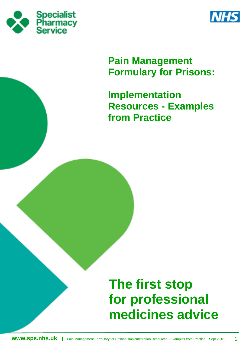



# **Pain Management Formulary for Prisons:**

**Implementation Resources - Examples from Practice**

# **The first stop for professional medicines advice**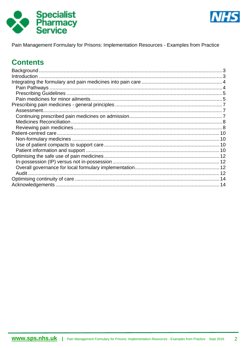



Pain Management Formulary for Prisons: Implementation Resources - Examples from Practice

# **Contents**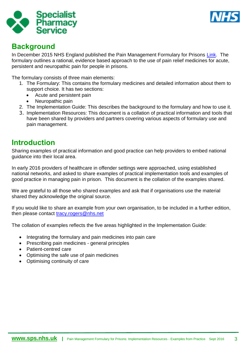



# <span id="page-2-0"></span>**Background**

In December 2015 NHS England published the Pain Management Formulary for Prisons [Link.](https://www.england.nhs.uk/commissioning/health-just/pain-formulary) The formulary outlines a rational, evidence based approach to the use of pain relief medicines for acute, persistent and neuropathic pain for people in prisons.

The formulary consists of three main elements:

- 1. The Formulary: This contains the formulary medicines and detailed information about them to support choice. It has two sections:
	- Acute and persistent pain
	- Neuropathic pain
- 2. The Implementation Guide: This describes the background to the formulary and how to use it.
- 3. Implementation Resources: This document is a collation of practical information and tools that have been shared by providers and partners covering various aspects of formulary use and pain management.

# <span id="page-2-1"></span>**Introduction**

Sharing examples of practical information and good practice can help providers to embed national guidance into their local area.

In early 2016 providers of healthcare in offender settings were approached, using established national networks, and asked to share examples of practical implementation tools and examples of good practice in managing pain in prison. This document is the collation of the examples shared.

We are grateful to all those who shared examples and ask that if organisations use the material shared they acknowledge the original source.

If you would like to share an example from your own organisation, to be included in a further edition, then please contact [tracy.rogers@nhs.net](mailto:tracy.rogers@nhs.net)

The collation of examples reflects the five areas highlighted in the Implementation Guide:

- Integrating the formulary and pain medicines into pain care
- Prescribing pain medicines general principles
- Patient-centred care
- Optimising the safe use of pain medicines
- Optimising continuity of care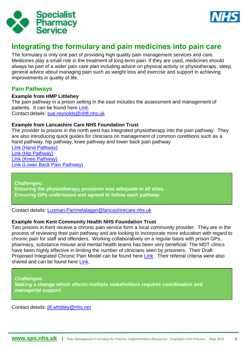



# <span id="page-3-0"></span>**Integrating the formulary and pain medicines into pain care**

The formulary is only one part of providing high quality pain management services and care. Medicines play a small role in the treatment of long-term pain. If they are used, medicines should always be part of a wider pain care plan including advice on physical activity or physiotherapy, sleep, general advice about managing pain such as weight loss and exercise and support in achieving improvements in quality of life.

### <span id="page-3-1"></span>**Pain Pathways**

#### **Example from HMP Littlehey**

The pain pathway in a prison setting in the east includes the assessment and management of patients. It can be found here [Link.](https://www.sps.nhs.uk/wp-content/uploads/2016/08/Z-Assessment_and_Management_of_Chronic_Pain_in_HMP_Littlehey.pdf)

Contact details: [sue.reynolds@nhft.nhs.uk](mailto:sue.reynolds@nhft.nhs.uk)

#### **Example from Lancashire Care NHS Foundation Trust**

The provider to prisons in the north west has integrated physiotherapy into the pain pathway. They are also introducing quick guides for clinicians on management of common conditions such as a hand pathway, hip pathway, knee pathway and lower back pain pathway

[Link \(Hand Pathway\)](https://www.sps.nhs.uk/wp-content/uploads/2016/08/C-Hand_Pathway_Lancashire_Care.pdf) [Link \(Hip Pathway\)](https://www.sps.nhs.uk/wp-content/uploads/2016/08/D-Hip_Pathway_Lancashire_Care.pdf) [Link \(Knee Pathway\)](https://www.sps.nhs.uk/wp-content/uploads/2016/08/E-Knee_Pathway_Lancashire_Care.pdf) [Link \(Lower Back Pain Pathway\)](https://www.sps.nhs.uk/wp-content/uploads/2016/08/F-Lower_Back_Pain_Pathway_Lancashire_Care.pdf)

**Challenges: Ensuring the physiotherapy provision was adequate in all sites. Ensuring GPs understood and agreed to follow each pathway**

Contact details: [Luxman.Parimelalagan@lancashirecare.nhs.uk](mailto:Luxman.Parimelalagan@lancashirecare.nhs.uk)

#### **Example from Kent Community Health NHS Foundation Trust**

Two prisons in Kent receive a chronic pain service form a local community provider. They are in the process of reviewing their pain pathway and are looking to incorporate more education with regard to chronic pain for staff and offenders. Working collaboratively on a regular basis with prison GPs, pharmacy, substance misuse and mental health teams has been very beneficial. The MDT clinics have been highly effective in limiting the number of clinicians seen by prisoners. Their Draft Proposed Integrated Chronic Pain Model can be found here [Link.](https://www.sps.nhs.uk/wp-content/uploads/2016/08/A-Proposed_Chronic_Pain_Clinical_Model_Kent_Prisons.pdf) Their referral criteria were also shared and can be found here [Link.](https://www.sps.nhs.uk/wp-content/uploads/2016/08/B-Prison_Referral_Criteria_Draft_Kent_Prisons.pdf)

**Challenges: Making a change which affects multiple stakeholders requires coordination and managerial support**

Contact details: [jill.whibley@nhs.net](mailto:jill.whibley@nhs.net)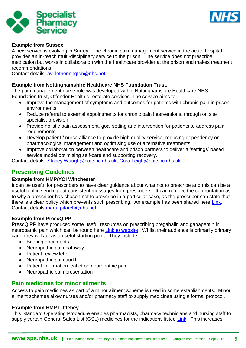



#### **Example from Sussex**

A new service is evolving in Surrey. The chronic pain management service in the acute hospital provides an in-reach multi-disciplinary service to the prison. The service does not prescribe medication but works in collaboration with the healthcare provider at the prison and makes treatment recommendations.

Contact details: [avriletherinhgton@nhs.net](mailto:avriletherinhgton@nhs.net)

#### **Example from Nottinghamshire Healthcare NHS Foundation Trust,**

The pain management nurse role was developed within Nottinghamshire Healthcare NHS Foundation trust, Offender Health directorate services. The service aims to:

- Improve the management of symptoms and outcomes for patients with chronic pain in prison environments.
- Reduce referral to external appointments for chronic pain interventions, through on site specialist provision
- Provide holistic pain assessment, goal setting and intervention for patients to address pain requirements
- Develop patient / nurse alliance to provide high quality service, reducing dependency on pharmacological management and optimising use of alternative treatments
- Improve collaboration between healthcare and prison partners to deliver a 'settings' based service model optimising self-care and supporting recovery.

Contact details: [Stacey.Waugh@nottshc.nhs.uk;](mailto:Stacey.Waugh@nottshc.nhs.uk) [Cora.Leigh@nottshc.nhs.uk](mailto:Cora.Leigh@nottshc.nhs.uk)

# <span id="page-4-0"></span>**Prescribing Guidelines**

#### **Example from HMP/YOI Winchester**

It can be useful for prescribers to have clear guidance about what not to prescribe and this can be a useful tool in sending out consistent messages from prescribers. It can remove the confrontation as to why a prescriber has chosen not to prescribe in a particular case, as the prescriber can state that there is a clear policy which prevents such prescribing. An example has been shared here [Link.](https://www.sps.nhs.uk/wp-content/uploads/2016/08/P-Winchester_In_house_prescribing_guide.pdf) Contact details [marta.pitarch@nhs.net](mailto:marta.pitarch@nhs.net)

#### **Example from PrescQIPP**

PrescQIPP have produced some useful resources on prescribing pregabalin and gabapentin in neuropathic pain which can be found here [Link to website.](https://www.prescqipp.info/pregabalin-in-neuropathic-pain/category/80-pregabalin-in-neuropathic-pain) Whilst their audience is primarily primary care, they will act as a useful starting point. They include:

- Briefing documents
- Neuropathic pain pathway
- Patient review letter
- Neuropathic pain audit
- Patient information leaflet on neuropathic pain
- Neuropathic pain presentation

### <span id="page-4-1"></span>**Pain medicines for minor ailments**

Access to pain medicines as part of a minor ailment scheme is used in some establishments. Minor ailment schemes allow nurses and/or pharmacy staff to supply medicines using a formal protocol.

#### **Example from HMP Littlehey**

This Standard Operating Procedure enables pharmacists, pharmacy technicians and nursing staff to supply certain General Sales List (GSL) medicines for the indications listed [Link.](https://www.sps.nhs.uk/wp-content/uploads/2016/08/BB-Supply_of_OTC_medicines_under_protocol_at_triage_times_March_2016.pdf) This increases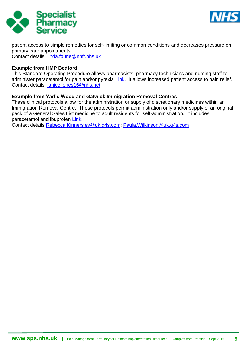



patient access to simple remedies for self-limiting or common conditions and decreases pressure on primary care appointments. Contact details: [linda.fourie@nhft.nhs.uk](mailto:linda.fourie@nhft.nhs.uk)

#### **Example from HMP Bedford**

This Standard Operating Procedure allows pharmacists, pharmacy technicians and nursing staff to administer paracetamol for pain and/or pyrexia [Link.](https://www.sps.nhs.uk/wp-content/uploads/2016/08/EE-SOP-for-Paracetamol-administration-HMP-Bedford.pdf) It allows increased patient access to pain relief. Contact details: [janice.jones16@nhs.net](mailto:janice.jones16@nhs.net)

#### **Example from Yarl's Wood and Gatwick Immigration Removal Centres**

These clinical protocols allow for the administration or supply of discretionary medicines within an Immigration Removal Centre. These protocols permit administration only and/or supply of an original pack of a General Sales List medicine to adult residents for self-administration. It includes paracetamol and ibuprofen [Link.](https://www.sps.nhs.uk/wp-content/uploads/2016/08/KK-Discretionary_Medicines-SOP_G4S.pdf)

Contact details [Rebecca.Kinnersley@uk.g4s.com;](mailto:Rebecca.Kinnersley@uk.g4s.com) [Paula.Wilkinson@uk.g4s.com](mailto:Paula.Wilkinson@uk.g4s.com)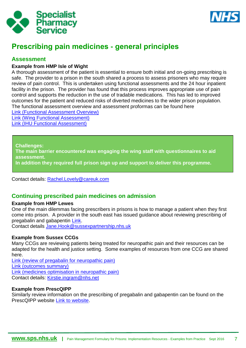



# <span id="page-6-0"></span>**Prescribing pain medicines - general principles**

### <span id="page-6-1"></span>**Assessment**

#### **Example from HMP Isle of Wight**

A thorough assessment of the patient is essential to ensure both initial and on-going prescribing is safe. The provider to a prison in the south shared a process to assess prisoners who may require review of pain control. This is undertaken using functional assessments and the 24 hour inpatient facility in the prison. The provider has found that this process improves appropriate use of pain control and supports the reduction in the use of tradable medications. This has led to improved outcomes for the patient and reduced risks of diverted medicines to the wider prison population. The functional assessment overview and assessment proformas can be found here

[Link \(Functional Assessment Overview\)](https://www.sps.nhs.uk/wp-content/uploads/2016/08/G-Functional_Assessments_IOW.pdf)

[Link \(Wing Functional Assessment\)](https://www.sps.nhs.uk/wp-content/uploads/2016/08/H-Wing_Functional_Assessment_IOW.pdf) [Link \(IHU Functional Assessment\)](https://www.sps.nhs.uk/wp-content/uploads/2016/08/I-IHU_Functional_Assessment_IOW.pdf)

**Challenges:**

**The main barrier encountered was engaging the wing staff with questionnaires to aid assessment.**

**In addition they required full prison sign up and support to deliver this programme.**

Contact details: [Rachel.Lovely@careuk.com](mailto:Rachel.Lovely@careuk.com)

### <span id="page-6-2"></span>**Continuing prescribed pain medicines on admission**

#### **Example from HMP Lewes**

One of the main dilemmas facing prescribers in prisons is how to manage a patient when they first come into prison. A provider in the south east has issued guidance about reviewing prescribing of pregabalin and gabapentin [Link.](https://www.sps.nhs.uk/wp-content/uploads/2016/08/M-Protocol_for_Mgmt_of_pregab-gaba_Sussex.pdf)

Contact details [Jane.Hook@sussexpartnership.nhs.uk](mailto:Jane.Hook@sussexpartnership.nhs.uk)

#### **Example from Sussex CCGs**

Many CCGs are reviewing patients being treated for neuropathic pain and their resources can be adapted for the health and justice setting. Some examples of resources from one CCG are shared here.

[Link \(review of pregabalin for neuropathic pain\)](https://www.sps.nhs.uk/wp-content/uploads/2016/08/V-E_Sx_Review_of_Pregabalin_for_Neuropathic__Pain.pdf) [Link \(outcomes summary\)](https://www.sps.nhs.uk/wp-content/uploads/2016/08/W-Pregabalin_outcomes_summary.pdf) [Link \(medicines optimisation in neuropathic pain\)](https://www.sps.nhs.uk/wp-content/uploads/2016/08/X-Medicines_Optimisation_in_Neuropathic_Pain_PRINT.pdf) Contact details: [Kirstie.ingram@nhs.net](mailto:Kirstie.ingram@nhs.net)

#### **Example from PrescQIPP**

Similarly review information on the prescribing of pregabalin and gabapentin can be found on the PrescQIPP website [Link to website.](https://www.prescqipp.info/pregabalin-in-neuropathic-pain/category/80-pregabalin-in-neuropathic-pain)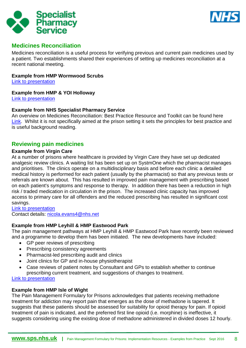



### <span id="page-7-0"></span>**Medicines Reconciliation**

Medicines reconciliation is a useful process for verifying previous and current pain medicines used by a patient. Two establishments shared their experiences of setting up medicines reconciliation at a recent national meeting.

#### **Example from HMP Wormwood Scrubs**

[Link to presentation](https://www.sps.nhs.uk/wp-content/uploads/2015/07/Presn_H20and20J_event_30June15_Medicines20Reconciliation_RH.pdf)

#### **Example from HMP & YOI Holloway**

[Link to presentation](https://www.sps.nhs.uk/wp-content/uploads/2015/07/Presn_H20and20J_event_30June15_Medicines20Reconciliation_SW.pdf)

#### **Example from NHS Specialist Pharmacy Service**

An overview on Medicines Reconciliation: Best Practice Resource and Toolkit can be found here [Link.](https://www.sps.nhs.uk/articles/medicines-reconciliation-best-practice-resource-and-toolkit/) Whilst it is not specifically aimed at the prison setting it sets the principles for best practice and is useful background reading.

### <span id="page-7-1"></span>**Reviewing pain medicines**

#### **Example from Virgin Care**

At a number of prisons where healthcare is provided by Virgin Care they have set up dedicated analgesic review clinics. A waiting list has been set up on SystmOne which the pharmacist manages and prioritises. The clinics operate on a multidisciplinary basis and before each clinic a detailed medical history is performed for each patient (usually by the pharmacist) so that any previous tests or referrals are known about. This has resulted in improved pain management with prescribing based on each patient's symptoms and response to therapy. In addition there has been a reduction in high risk / traded medication in circulation in the prison. The increased clinic capacity has improved access to primary care for all offenders and the reduced prescribing has resulted in significant cost savings.

[Link to presentation](https://www.sps.nhs.uk/wp-content/uploads/2014/03/Presn_HJ_event_18Mar14_Analgesic_Review_Clinics_KC_NE.pdf)

Contact details: [nicola.evans4@nhs.net](mailto:nicola.evans4@nhs.net)

#### **Example from HMP Leyhill & HMP Eastwood Park**

The pain management pathways at HMP Leyhill & HMP Eastwood Park have recently been reviewed and a programme to develop them has been initiated. The new developments have included:

- GP peer reviews of prescribing
- Prescribing consistency agreements
- Pharmacist-led prescribing audit and clinics
- Joint clinics for GP and in-house physiotherapist
- Case reviews of patient notes by Consultant and GPs to establish whether to continue prescribing current treatment, and suggestions of changes to treatment.

[Link to presentation](https://www.sps.nhs.uk/wp-content/uploads/2014/03/Presn_HJ_event_18Mar14_Pain_Mgmt_Pathways_CT_DrCP.pdf)

#### **Example from HMP Isle of Wight**

The Pain Management Formulary for Prisons acknowledges that patients receiving methadone treatment for addiction may report pain that emerges as the dose of methadone is tapered. It suggests that these patients should be assessed for suitability for opioid therapy for pain. If opioid treatment of pain is indicated, and the preferred first line opioid (i.e. morphine) is ineffective, it suggests considering using the existing dose of methadone administered in divided doses 12 hourly.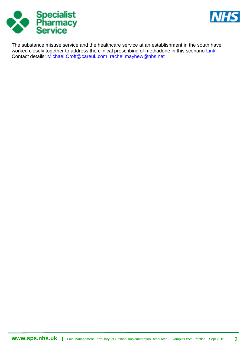



The substance misuse service and the healthcare service at an establishment in the south have worked closely together to address the clinical prescribing of methadone in this scenario [Link.](https://www.sps.nhs.uk/wp-content/uploads/2016/08/HH-Final_BD_METHADONE.pdf) Contact details: [Michael.Croft@careuk.com;](mailto:Michael.Croft@careuk.com) [rachel.mayhew@nhs.net](mailto:rachel.mayhew@nhs.net)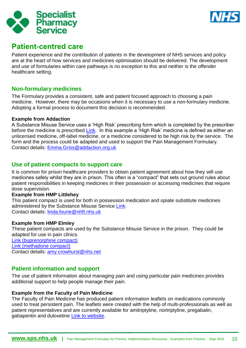



# <span id="page-9-0"></span>**Patient-centred care**

Patient experience and the contribution of patients in the development of NHS services and policy are at the heart of how services and medicines optimisation should be delivered. The development and use of formularies within care pathways is no exception to this and neither is the offender healthcare setting.

### <span id="page-9-1"></span>**Non-formulary medicines**

The Formulary provides a consistent, safe and patient focused approach to choosing a pain medicine. However, there may be occasions when it is necessary to use a non-formulary medicine. Adopting a formal process to document this decision is recommended.

#### **Example from Addaction**

A Substance Misuse Service uses a 'High Risk' prescribing form which is completed by the prescriber before the medicine is prescribed [Link.](https://www.sps.nhs.uk/wp-content/uploads/2016/08/DD-High_risk_prescribing.pdf) In this example a 'High Risk' medicine is defined as either an unlicensed medicine, off-label medicine, or a medicine considered to be high risk by the service. The form and the process could be adapted and used to support the Pain Management Formulary. Contact details: [Emma.Griss@addaction.org.uk](mailto:Emma.Griss@addaction.org.uk)

### <span id="page-9-2"></span>**Use of patient compacts to support care**

It is common for prison healthcare providers to obtain patient agreement about how they will use medicines safely whilst they are in prison. This often is a "compact" that sets out ground rules about patient responsibilities in keeping medicines in their possession or accessing medicines that require dose supervision.

#### **Example from HMP Littlehey**

This patient compact is used for both in possession medication and opiate substitute medicines administered by the Substance Misuse Service [Link.](https://www.sps.nhs.uk/wp-content/uploads/2016/08/CC-Medication_Compact.pdf) Contact details: [linda.fourie@nhft.nhs.uk](mailto:linda.fourie@nhft.nhs.uk)

#### **Example from HMP Elmley**

These patient compacts are used by the Substance Misuse Service in the prison. They could be adapted for use in pain clinics. [Link \(buprenorphine compact\)](https://www.sps.nhs.uk/wp-content/uploads/2016/08/II-Buprenorphine_Compact.pdf)

[Link \(methadone compact\)](https://www.sps.nhs.uk/wp-content/uploads/2016/08/JJ-Methadone_Compact.pdf)

Contact details: [amy.crowhurst@nhs.net](mailto:amy.crowhurst@nhs.net)

# <span id="page-9-3"></span>**Patient information and support**

The use of patient information about managing pain and using particular pain medicines provides additional support to help people manage their pain.

#### **Example from the Faculty of Pain Medicine**

The Faculty of Pain Medicine has produced patient information leaflets on medications commonly used to treat persistent pain. The leaflets were created with the help of multi-professionals as well as patient representatives and are currently available for amitriptyline, nortriptyline, pregabalin, gabapentin and duloxetine [Link to website.](https://www.rcoa.ac.uk/faculty-of-pain-medicine/patient-information)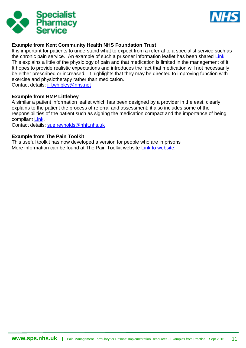



#### **Example from Kent Community Health NHS Foundation Trust**

It is important for patients to understand what to expect from a referral to a specialist service such as the chronic pain service. An example of such a prisoner information leaflet has been shared [Link.](https://www.sps.nhs.uk/wp-content/uploads/2016/08/J-Information_Leaflet_for_Prisoners_re_Chronic_Pain_Kent.pdf) This explains a little of the physiology of pain and that medication is limited in the management of it. It hopes to provide realistic expectations and introduces the fact that medication will not necessarily be either prescribed or increased. It highlights that they may be directed to improving function with exercise and physiotherapy rather than medication.

Contact details: [jill.whibley@nhs.net](mailto:jill.whibley@nhs.net)

#### **Example from HMP Littlehey**

A similar a patient information leaflet which has been designed by a provider in the east, clearly explains to the patient the process of referral and assessment; it also includes some of the responsibilities of the patient such as signing the medication compact and the importance of being compliant [Link.](https://www.sps.nhs.uk/wp-content/uploads/2016/08/AA-Pain_management_Patient_information_leaflet_May_2016.pdf)

Contact details: [sue.reynolds@nhft.nhs.uk](mailto:sue.reynolds@nhft.nhs.uk)

#### **Example from The Pain Toolkit**

This useful toolkit has now developed a version for people who are in prisons More information can be found at The Pain Toolkit website [Link to website.](http://www.paintoolkit.org/news/article/pain-toolkit-prison-secure-unit-version)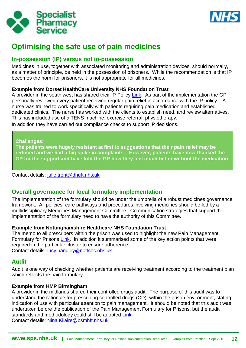



# <span id="page-11-0"></span>**Optimising the safe use of pain medicines**

### <span id="page-11-1"></span>**In-possession (IP) versus not in-possession**

Medicines in use, together with associated monitoring and administration devices, should normally, as a matter of principle, be held in the possession of prisoners. While the recommendation is that IP becomes the norm for prisoners, it is not appropriate for all medicines.

#### **Example from Dorset HealthCare University NHS Foundation Trust**

A provider in the south west has shared their IP Policy [Link.](https://www.sps.nhs.uk/wp-content/uploads/2016/08/L-IP_Policy_Dorset.pdf) As part of the implementation the GP personally reviewed every patient receiving regular pain relief in accordance with the IP policy. A nurse was trained to work specifically with patients requiring pain medication and established dedicated clinics. The nurse has worked with the clients to establish need, and review alternatives. This has included use of a TENS machine, exercise referral, physiotherapy.

In addition they have carried out compliance checks to support IP decisions.

#### **Challenges:**

**The patients were hugely resistant at first to suggestions that their pain relief may be reduced and we had a big spike in complaints. However, patients have now thanked the GP for the support and have told the GP how they feel much better without the medication**

Contact details: [julie.trent@dhuft.nhs.uk](mailto:julie.trent@dhuft.nhs.uk)

# <span id="page-11-2"></span>**Overall governance for local formulary implementation**

The implementation of the formulary should be under the umbrella of a robust medicines governance framework. All policies, care pathways and procedures involving medicines should be led by a multidisciplinary Medicines Management Committee. Communication strategies that support the implementation of the formulary need to have the authority of this Committee.

#### **Example from Nottinghamshire Healthcare NHS Foundation Trust**

The memo to all prescribers within the prison was used to highlight the new Pain Management Formulary for Prisons [Link.](https://www.sps.nhs.uk/wp-content/uploads/2016/08/FF-OH_DT_Pain_formulary_memo.pdf) In addition it summarised some of the key action points that were required in the particular cluster to ensure adherence. Contact details: <u>lucy.handley@nottshc.nhs.uk</u>

### <span id="page-11-3"></span>**Audit**

Audit is one way of checking whether patients are receiving treatment according to the treatment plan which reflects the pain formulary.

#### **Example from HMP Birmingham**

A provider in the midlands shared their controlled drugs audit. The purpose of this audit was to understand the rationale for prescribing controlled drugs (CD), within the prison environment, stating indication of use with particular attention to pain management. It should be noted that this audit was undertaken before the publication of the Pain Management Formulary for Prisons, but the audit standards and methodology could still be adopted [Link.](https://www.sps.nhs.uk/wp-content/uploads/2016/08/K-Audit_CD_Prescribing_in_Pain_Management_Birmingham.pdf) Contact details: [Nina.Kilaire@bsmhft.nhs.uk](mailto:Nina.Kilaire@bsmhft.nhs.uk)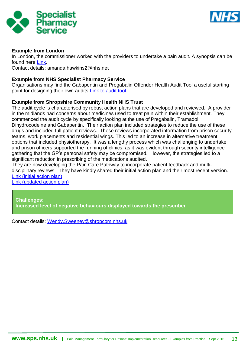



#### **Example from London**

In London, the commissioner worked with the providers to undertake a pain audit. A synopsis can be found here [Link.](https://www.sps.nhs.uk/wp-content/uploads/2016/08/Q-Pain_Management_Audit_Presentation.pdf)

Contact details: amanda.hawkins2@nhs.net

#### **Example from NHS Specialist Pharmacy Service**

Organisations may find the Gabapentin and Pregabalin Offender Health Audit Tool a useful starting point for designing their own audits [Link to audit tool.](https://www.sps.nhs.uk/articles/gabapentin-and-pregabalin-offender-health-audit-report-and-audit-tool/)

#### **Example from Shropshire Community Health NHS Trust**

The audit cycle is characterised by robust action plans that are developed and reviewed. A provider in the midlands had concerns about medicines used to treat pain within their establishment. They commenced the audit cycle by specifically looking at the use of Pregabalin, Tramadol,

Dihydrocodeine and Gabapentin. Their action plan included strategies to reduce the use of these drugs and included full patient reviews. These reviews incorporated information from prison security teams, work placements and residential wings. This led to an increase in alternative treatment options that included physiotherapy. It was a lengthy process which was challenging to undertake and prison officers supported the running of clinics, as it was evident through security intelligence gathering that the GP's personal safety may be compromised. However, the strategies led to a significant reduction in prescribing of the medications audited.

They are now developing the Pain Care Pathway to incorporate patient feedback and multidisciplinary reviews. They have kindly shared their initial action plan and their most recent version. [Link \(initial action plan\)](https://www.sps.nhs.uk/wp-content/uploads/2016/08/R-Medicines_Management_Concerns_and_Action_Plan_2014.pdf)

[Link \(updated action plan\)](https://www.sps.nhs.uk/wp-content/uploads/2016/08/S-Medicines_Management_updated_action_plan.pdf)

**Challenges: Increased level of negative behaviours displayed towards the prescriber**

Contact details: [Wendy.Sweeney@shropcom.nhs.uk](mailto:Wendy.Sweeney@shropcom.nhs.uk)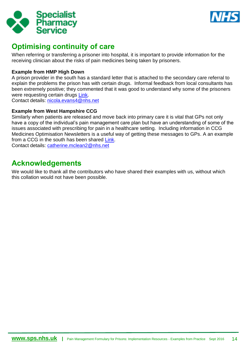



# <span id="page-13-0"></span>**Optimising continuity of care**

When referring or transferring a prisoner into hospital, it is important to provide information for the receiving clinician about the risks of pain medicines being taken by prisoners.

### **Example from HMP High Down**

A prison provider in the south has a standard letter that is attached to the secondary care referral to explain the problems the prison has with certain drugs. Informal feedback from local consultants has been extremely positive; they commented that it was good to understand why some of the prisoners were requesting certain drugs [Link.](https://www.sps.nhs.uk/wp-content/uploads/2016/08/U-Letter_to_accompany_referrals_-_analgesics_of_abuse.pdf)

Contact details: [nicola.evans4@nhs.net](mailto:nicola.evans4@nhs.net)

#### **Example from West Hampshire CCG**

Similarly when patients are released and move back into primary care it is vital that GPs not only have a copy of the individual's pain management care plan but have an understanding of some of the issues associated with prescribing for pain in a healthcare setting. Including information in CCG Medicines Optimisation Newsletters is a useful way of getting these messages to GPs. A an example from a CCG in the south has been shared [Link.](https://www.sps.nhs.uk/wp-content/uploads/2016/08/Y-February_2016_MedsOptNewsHeadlines.pdf) Contact details: [catherine.mclean2@nhs.net](mailto:catherine.mclean2@nhs.net)

# <span id="page-13-1"></span>**Acknowledgements**

We would like to thank all the contributors who have shared their examples with us, without which this collation would not have been possible.